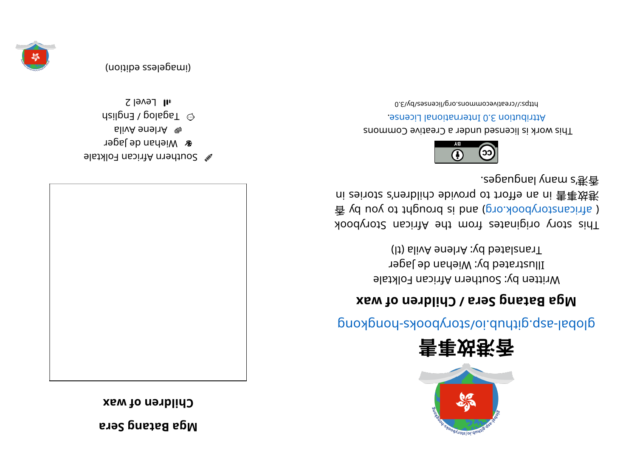**areS gnat aB ag M**





- el suthern African Folktale
- **a** Miehan de Jager
- alivA enel YA A
- $\omega$  agalog / English
- $I$ l Fevel 2





## glops- sajar provers som a produce system in the set of such a proof and above set of  $\mathfrak{g}$

## **xew to netally and**  $\bf{v}$  **children of wax**

Written by: Southern African Folktale Illustrated by: Wiehan de Jager (It) alivA enel  $x$ :  $y$ d betal and  $y$ 

kood yoof a sing in and work set and work sid and a single single single single single single single 香 vd uoy ot triguor bh and is brought to you by 香 ni zeinotz s'nenblidɔ əbivonq ot troftə na ni 害事对承 . e9psupnsl \nsm = '武香



This work is licensed under a Creative Commons . esnecial lanoit and the change.

bttps://creativecommons.org/licenses/by/3.0



(imageless edition)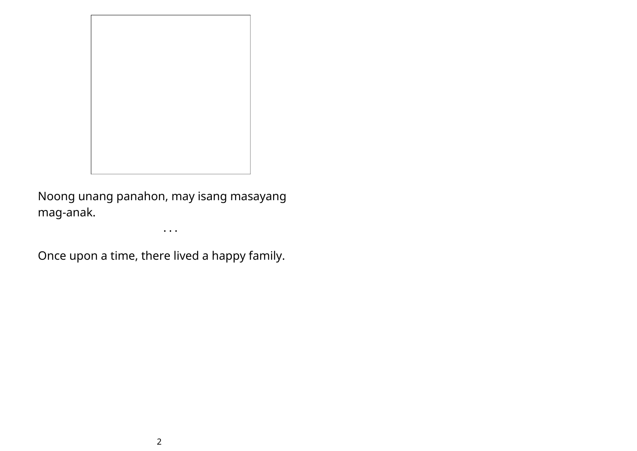

Noong unang panahon, may isang masayang mag-anak.

• • •

Once upon a time, there lived a happy family.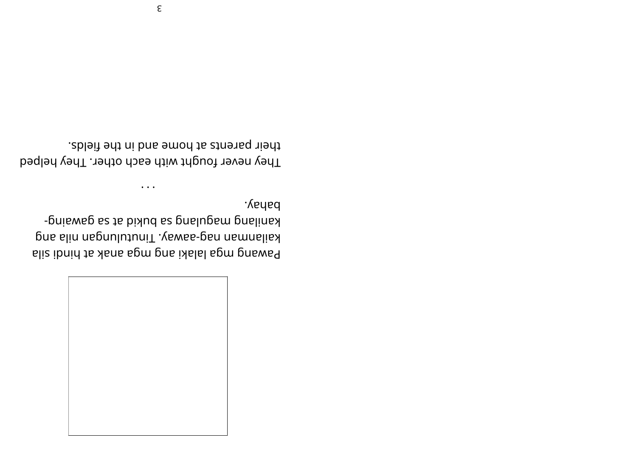

bahay. **EQUABER 18 FOR 18 SONG 18 FOR 18 SONG** - Bujeno Bueliuey pns slin naporitini . Vewse-pen nemnslist Bliz ibnid to Asne spm pns ixlals ignored

their parents at home and in the fields. They never fought with each other. They helped

 $\cdots$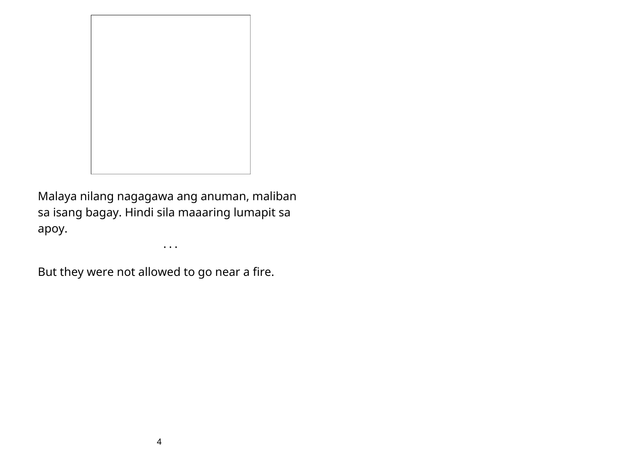

Malaya nilang nagagawa ang anuman, maliban sa isang bagay. Hindi sila maaaring lumapit sa apoy.

• • •

But they were not allowed to go near a fire.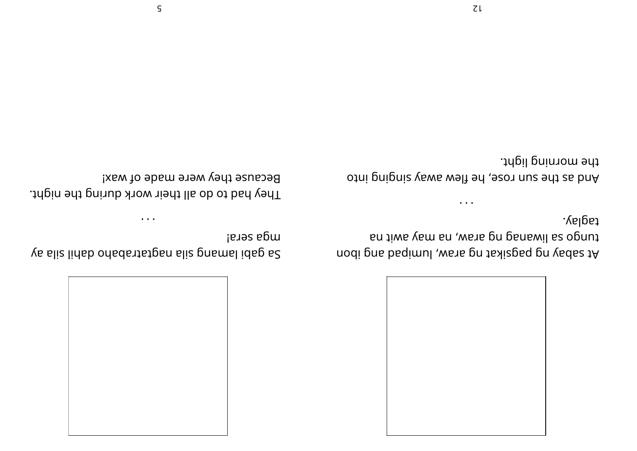$ZL$ 

the morning light.

And as the sun rose' pay that is puy

taglay.

En tiwe vem en , wete prippens lie opnut At sabay ou is that the pool in the ped in the pool.

 $\bullet$   $\bullet$   $\bullet$ 



 $\bullet\quad\bullet\quad\bullet$ nga zeraj ys sliz linab on adstraban sliz pnsmslidsp s2

They had to do all their work during the night.

Because they were made of wax!

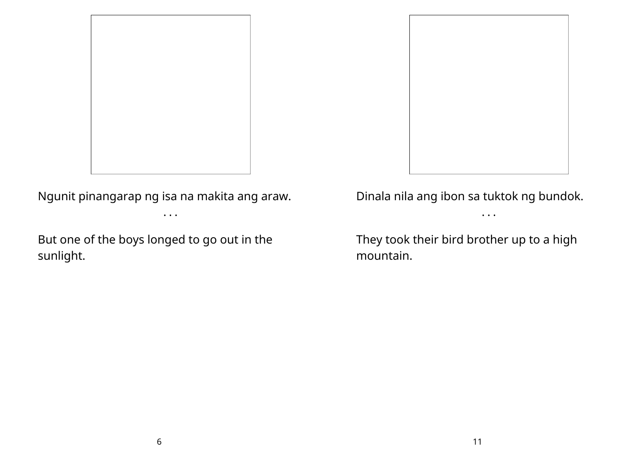



Ngunit pinangarap ng isa na makita ang araw.

• • •

But one of the boys longed to go out in the sunlight.

Dinala nila ang ibon sa tuktok ng bundok. • • •

They took their bird brother up to a high mountain.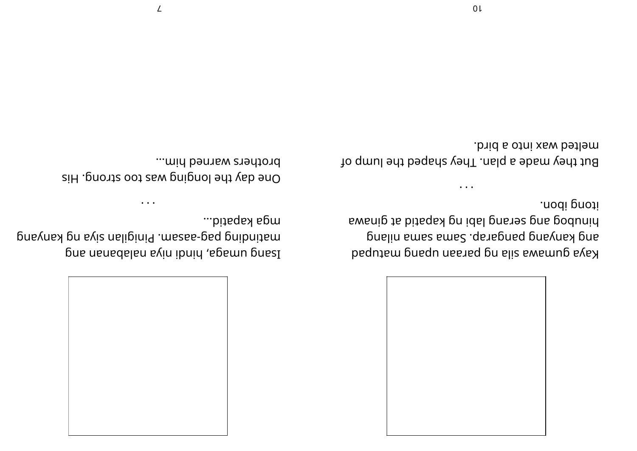

melted wax into a bird. But they made a plan. They shaped the lump of  $\ddot{\phantom{a}}$ 

itong ibon.

Ewanip to bitaqay pn idal pnsha pns podunin pnslin smss smss. . qs as pnsq bnsvnss bns kaye druging pedagonal pedagonal pedagonal pedagonal pedagonal pedagonal pedagonal pedagonal pedagonal pedago



brothers warned him... One day the longing was too strong. His

mga kapatid...

pnsyns bu evis nelipiniq .mszee-ped pnibnitem Due ueueqeleu evin ibnin ,epemu puezl

 $\ddotsc$